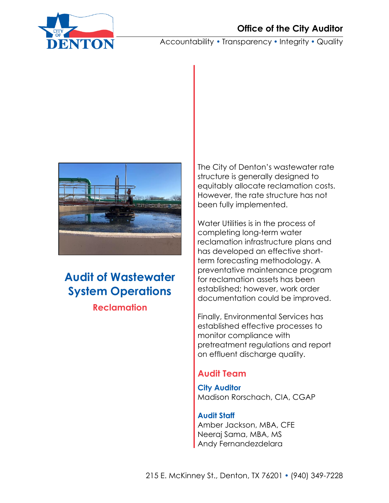

Accountability • Transparency • Integrity • Quality



# **Audit of Wastewater System Operations Reclamation**

The City of Denton's wastewater rate structure is generally designed to equitably allocate reclamation costs. However, the rate structure has not been fully implemented.

Water Utilities is in the process of completing long-term water reclamation infrastructure plans and has developed an effective shortterm forecasting methodology. A preventative maintenance program for reclamation assets has been established; however, work order documentation could be improved.

Finally, Environmental Services has established effective processes to monitor compliance with pretreatment regulations and report on effluent discharge quality.

# **Audit Team**

**City Auditor** Madison Rorschach, CIA, CGAP

**Audit Staff** Amber Jackson, MBA, CFE Neeraj Sama, MBA, MS Andy Fernandezdelara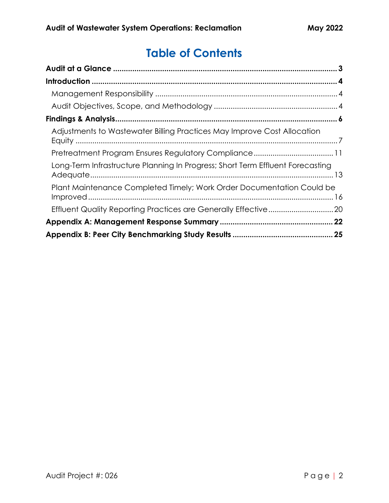# **Table of Contents**

| Adjustments to Wastewater Billing Practices May Improve Cost Allocation        |  |
|--------------------------------------------------------------------------------|--|
|                                                                                |  |
| Long-Term Infrastructure Planning In Progress; Short Term Effluent Forecasting |  |
| Plant Maintenance Completed Timely; Work Order Documentation Could be          |  |
|                                                                                |  |
|                                                                                |  |
|                                                                                |  |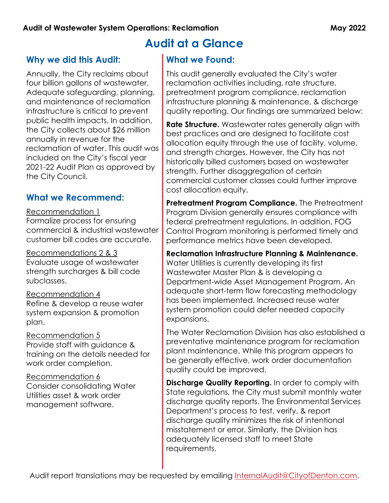# <span id="page-2-0"></span>**Why we did this Audit:**

Annually, the City reclaims about four billion gallons of wastewater. Adequate safeguarding, planning, and maintenance of reclamation infrastructure is critical to prevent public health impacts. In addition, the City collects about \$26 million annually in revenue for the reclamation of water. This audit was included on the City's fiscal year 2021-22 Audit Plan as approved by the City Council.

# **What we Recommend:**

Recommendation 1 Formalize process for ensuring commercial & industrial wastewater customer bill codes are accurate.

Recommendations 2 & 3 Evaluate usage of wastewater strength surcharges & bill code subclasses.

Recommendation 4 Refine & develop a reuse water system expansion & promotion plan.

Recommendation 5 Provide staff with guidance & training on the details needed for work order completion.

Recommendation 6 Consider consolidating Water Utilities asset & work order management software.

# **Audit at a Glance**

## **What we Found:**

This audit generally evaluated the City's water reclamation activities including, rate structure, pretreatment program compliance, reclamation infrastructure planning & maintenance, & discharge quality reporting. Our findings are summarized below:

**Rate Structure.** Wastewater rates generally align with best practices and are designed to facilitate cost allocation equity through the use of facility, volume, and strength charges. However, the City has not historically billed customers based on wastewater strength. Further disaggregation of certain commercial customer classes could further improve cost allocation equity.

**Pretreatment Program Compliance.** The Pretreatment Program Division generally ensures compliance with federal pretreatment regulations. In addition, FOG Control Program monitoring is performed timely and performance metrics have been developed.

**Reclamation Infrastructure Planning & Maintenance.** Water Utilities is currently developing its first Wastewater Master Plan & is developing a Department-wide Asset Management Program. An adequate short-term flow forecasting methodology has been implemented. Increased reuse water system promotion could defer needed capacity expansions.

The Water Reclamation Division has also established a preventative maintenance program for reclamation plant maintenance. While this program appears to be generally effective, work order documentation quality could be improved.

**Discharge Quality Reporting.** In order to comply with State regulations, the City must submit monthly water discharge quality reports. The Environmental Services Department's process to test, verify, & report discharge quality minimizes the risk of intentional misstatement or error. Similarly, the Division has adequately licensed staff to meet State requirements.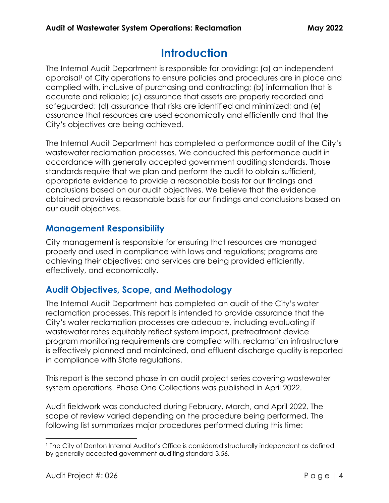# **Introduction**

<span id="page-3-0"></span>The Internal Audit Department is responsible for providing: (a) an independent appraisal<sup>1</sup> of City operations to ensure policies and procedures are in place and complied with, inclusive of purchasing and contracting; (b) information that is accurate and reliable; (c) assurance that assets are properly recorded and safeguarded; (d) assurance that risks are identified and minimized; and (e) assurance that resources are used economically and efficiently and that the City's objectives are being achieved.

The Internal Audit Department has completed a performance audit of the City's wastewater reclamation processes. We conducted this performance audit in accordance with generally accepted government auditing standards. Those standards require that we plan and perform the audit to obtain sufficient, appropriate evidence to provide a reasonable basis for our findings and conclusions based on our audit objectives. We believe that the evidence obtained provides a reasonable basis for our findings and conclusions based on our audit objectives.

## <span id="page-3-1"></span>**Management Responsibility**

City management is responsible for ensuring that resources are managed properly and used in compliance with laws and regulations; programs are achieving their objectives; and services are being provided efficiently, effectively, and economically.

# <span id="page-3-2"></span>**Audit Objectives, Scope, and Methodology**

The Internal Audit Department has completed an audit of the City's water reclamation processes. This report is intended to provide assurance that the City's water reclamation processes are adequate, including evaluating if wastewater rates equitably reflect system impact, pretreatment device program monitoring requirements are complied with, reclamation infrastructure is effectively planned and maintained, and effluent discharge quality is reported in compliance with State regulations.

This report is the second phase in an audit project series covering wastewater system operations. Phase One Collections was published in April 2022.

Audit fieldwork was conducted during February, March, and April 2022. The scope of review varied depending on the procedure being performed. The following list summarizes major procedures performed during this time:

<sup>1</sup> The City of Denton Internal Auditor's Office is considered structurally independent as defined by generally accepted government auditing standard 3.56.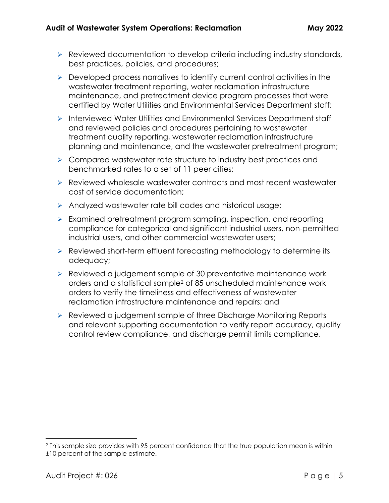- ➢ Reviewed documentation to develop criteria including industry standards, best practices, policies, and procedures;
- ➢ Developed process narratives to identify current control activities in the wastewater treatment reporting, water reclamation infrastructure maintenance, and pretreatment device program processes that were certified by Water Utilities and Environmental Services Department staff;
- ➢ Interviewed Water Utilities and Environmental Services Department staff and reviewed policies and procedures pertaining to wastewater treatment quality reporting, wastewater reclamation infrastructure planning and maintenance, and the wastewater pretreatment program;
- ➢ Compared wastewater rate structure to industry best practices and benchmarked rates to a set of 11 peer cities;
- ➢ Reviewed wholesale wastewater contracts and most recent wastewater cost of service documentation;
- ➢ Analyzed wastewater rate bill codes and historical usage;
- ➢ Examined pretreatment program sampling, inspection, and reporting compliance for categorical and significant industrial users, non-permitted industrial users, and other commercial wastewater users;
- ➢ Reviewed short-term effluent forecasting methodology to determine its adequacy;
- ➢ Reviewed a judgement sample of 30 preventative maintenance work orders and a statistical sample<sup>2</sup> of 85 unscheduled maintenance work orders to verify the timeliness and effectiveness of wastewater reclamation infrastructure maintenance and repairs; and
- ➢ Reviewed a judgement sample of three Discharge Monitoring Reports and relevant supporting documentation to verify report accuracy, quality control review compliance, and discharge permit limits compliance.

<sup>2</sup> This sample size provides with 95 percent confidence that the true population mean is within ±10 percent of the sample estimate.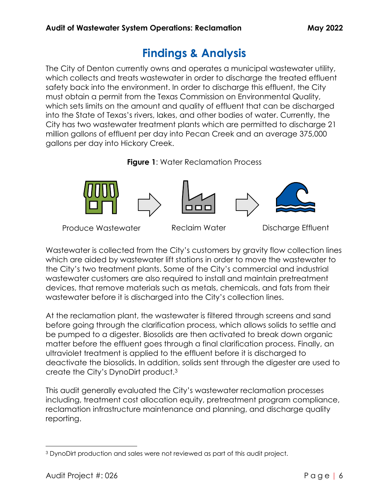# **Findings & Analysis**

<span id="page-5-0"></span>The City of Denton currently owns and operates a municipal wastewater utility, which collects and treats wastewater in order to discharge the treated effluent safety back into the environment. In order to discharge this effluent, the City must obtain a permit from the Texas Commission on Environmental Quality, which sets limits on the amount and quality of effluent that can be discharged into the State of Texas's rivers, lakes, and other bodies of water. Currently, the City has two wastewater treatment plants which are permitted to discharge 21 million gallons of effluent per day into Pecan Creek and an average 375,000 gallons per day into Hickory Creek.





Produce Wastewater Reclaim Water Discharge Effluent

Wastewater is collected from the City's customers by gravity flow collection lines which are aided by wastewater lift stations in order to move the wastewater to the City's two treatment plants. Some of the City's commercial and industrial wastewater customers are also required to install and maintain pretreatment devices, that remove materials such as metals, chemicals, and fats from their wastewater before it is discharged into the City's collection lines.

At the reclamation plant, the wastewater is filtered through screens and sand before going through the clarification process, which allows solids to settle and be pumped to a digester. Biosolids are then activated to break down organic matter before the effluent goes through a final clarification process. Finally, an ultraviolet treatment is applied to the effluent before it is discharged to deactivate the biosolids. In addition, solids sent through the digester are used to create the City's DynoDirt product.<sup>3</sup>

This audit generally evaluated the City's wastewater reclamation processes including, treatment cost allocation equity, pretreatment program compliance, reclamation infrastructure maintenance and planning, and discharge quality reporting.

<sup>3</sup> DynoDirt production and sales were not reviewed as part of this audit project.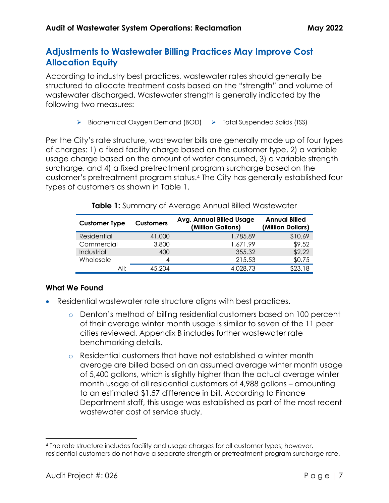# <span id="page-6-0"></span>**Adjustments to Wastewater Billing Practices May Improve Cost Allocation Equity**

According to industry best practices, wastewater rates should generally be structured to allocate treatment costs based on the "strength" and volume of wastewater discharged. Wastewater strength is generally indicated by the following two measures:

➢ Biochemical Oxygen Demand (BOD) ➢ Total Suspended Solids (TSS)

Per the City's rate structure, wastewater bills are generally made up of four types of charges: 1) a fixed facility charge based on the customer type, 2) a variable usage charge based on the amount of water consumed, 3) a variable strength surcharge, and 4) a fixed pretreatment program surcharge based on the customer's pretreatment program status. <sup>4</sup> The City has generally established four types of customers as shown in Table 1.

| <b>Customer Type</b><br><b>Customers</b> |        | <b>Avg. Annual Billed Usage</b><br>(Million Gallons) | <b>Annual Billed</b><br>(Million Dollars) |  |
|------------------------------------------|--------|------------------------------------------------------|-------------------------------------------|--|
| Residential                              | 41,000 | 1,785.89                                             | \$10.69                                   |  |
| Commercial                               | 3,800  | 1,671.99                                             | \$9.52                                    |  |
| Industrial                               | 400    | 355.32                                               | \$2.22                                    |  |
| Wholesale                                | 4      | 215.53                                               | \$0.75                                    |  |
| All:                                     | 45.204 | 4,028.73                                             | \$23.18                                   |  |

**Table 1:** Summary of Average Annual Billed Wastewater

## **What We Found**

- Residential wastewater rate structure aligns with best practices.
	- o Denton's method of billing residential customers based on 100 percent of their average winter month usage is similar to seven of the 11 peer cities reviewed. Appendix B includes further wastewater rate benchmarking details.
	- o Residential customers that have not established a winter month average are billed based on an assumed average winter month usage of 5,400 gallons, which is slightly higher than the actual average winter month usage of all residential customers of 4,988 gallons – amounting to an estimated \$1.57 difference in bill. According to Finance Department staff, this usage was established as part of the most recent wastewater cost of service study.

<sup>4</sup> The rate structure includes facility and usage charges for all customer types; however, residential customers do not have a separate strength or pretreatment program surcharge rate.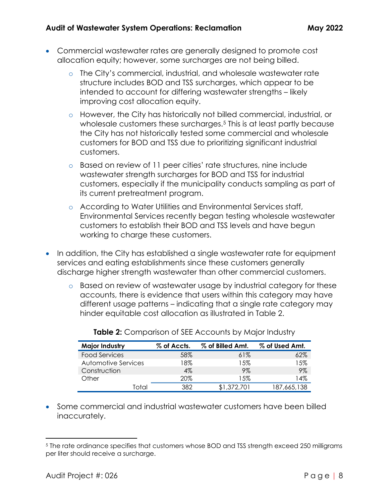- Commercial wastewater rates are generally designed to promote cost allocation equity; however, some surcharges are not being billed.
	- o The City's commercial, industrial, and wholesale wastewater rate structure includes BOD and TSS surcharges, which appear to be intended to account for differing wastewater strengths – likely improving cost allocation equity.
	- o However, the City has historically not billed commercial, industrial, or wholesale customers these surcharges.<sup>5</sup> This is at least partly because the City has not historically tested some commercial and wholesale customers for BOD and TSS due to prioritizing significant industrial customers.
	- o Based on review of 11 peer cities' rate structures, nine include wastewater strength surcharges for BOD and TSS for industrial customers, especially if the municipality conducts sampling as part of its current pretreatment program.
	- o According to Water Utilities and Environmental Services staff, Environmental Services recently began testing wholesale wastewater customers to establish their BOD and TSS levels and have begun working to charge these customers.
- In addition, the City has established a single wastewater rate for equipment services and eating establishments since these customers generally discharge higher strength wastewater than other commercial customers.
	- o Based on review of wastewater usage by industrial category for these accounts, there is evidence that users within this category may have different usage patterns – indicating that a single rate category may hinder equitable cost allocation as illustrated in Table 2.

| <b>Major Industry</b> | % of Accts. | % of Billed Amt. | % of Used Amt. |  |
|-----------------------|-------------|------------------|----------------|--|
| Food Services         | 58%         | 61%              | 62%            |  |
| Automotive Services   | $8\%$       | 15%              | 15%            |  |
| Construction          | $4\%$       | 9%               | 9%             |  |
| Other                 | 20%         | 15%              | ' 4%           |  |
| Total                 | 382         | \$1,372,701      | 187,665,138    |  |

**Table 2:** Comparison of SEE Accounts by Major Industry

• Some commercial and industrial wastewater customers have been billed inaccurately.

<sup>5</sup> The rate ordinance specifies that customers whose BOD and TSS strength exceed 250 milligrams per liter should receive a surcharge.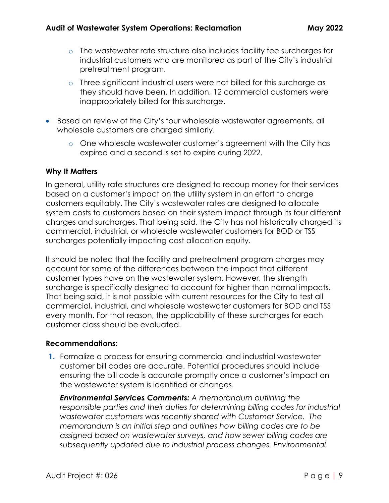- o The wastewater rate structure also includes facility fee surcharges for industrial customers who are monitored as part of the City's industrial pretreatment program.
- o Three significant industrial users were not billed for this surcharge as they should have been. In addition, 12 commercial customers were inappropriately billed for this surcharge.
- Based on review of the City's four wholesale wastewater agreements, all wholesale customers are charged similarly.
	- o One wholesale wastewater customer's agreement with the City has expired and a second is set to expire during 2022.

#### **Why It Matters**

In general, utility rate structures are designed to recoup money for their services based on a customer's impact on the utility system in an effort to charge customers equitably. The City's wastewater rates are designed to allocate system costs to customers based on their system impact through its four different charges and surcharges. That being said, the City has not historically charged its commercial, industrial, or wholesale wastewater customers for BOD or TSS surcharges potentially impacting cost allocation equity.

It should be noted that the facility and pretreatment program charges may account for some of the differences between the impact that different customer types have on the wastewater system. However, the strength surcharge is specifically designed to account for higher than normal impacts. That being said, it is not possible with current resources for the City to test all commercial, industrial, and wholesale wastewater customers for BOD and TSS every month. For that reason, the applicability of these surcharges for each customer class should be evaluated.

## **Recommendations:**

**1.** Formalize a process for ensuring commercial and industrial wastewater customer bill codes are accurate. Potential procedures should include ensuring the bill code is accurate promptly once a customer's impact on the wastewater system is identified or changes.

*Environmental Services Comments: A memorandum outlining the responsible parties and their duties for determining billing codes for industrial wastewater customers was recently shared with Customer Service. The memorandum is an initial step and outlines how billing codes are to be assigned based on wastewater surveys, and how sewer billing codes are subsequently updated due to industrial process changes. Environmental*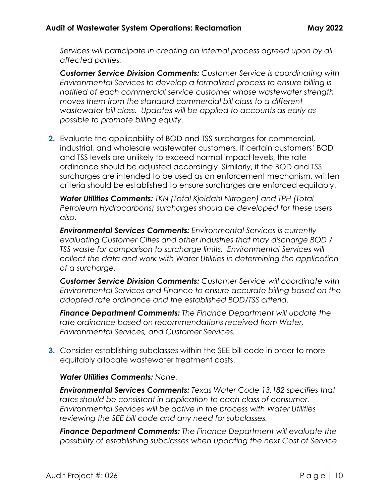*Services will participate in creating an internal process agreed upon by all affected parties.*

*Customer Service Division Comments: Customer Service is coordinating with Environmental Services to develop a formalized process to ensure billing is notified of each commercial service customer whose wastewater strength moves them from the standard commercial bill class to a different wastewater bill class. Updates will be applied to accounts as early as possible to promote billing equity.* 

**2.** Evaluate the applicability of BOD and TSS surcharges for commercial, industrial, and wholesale wastewater customers. If certain customers' BOD and TSS levels are unlikely to exceed normal impact levels, the rate ordinance should be adjusted accordingly. Similarly, if the BOD and TSS surcharges are intended to be used as an enforcement mechanism, written criteria should be established to ensure surcharges are enforced equitably.

*Water Utilities Comments: TKN (Total Kjeldahl Nitrogen) and TPH (Total Petroleum Hydrocarbons) surcharges should be developed for these users also.*

*Environmental Services Comments: Environmental Services is currently evaluating Customer Cities and other industries that may discharge BOD / TSS waste for comparison to surcharge limits. Environmental Services will collect the data and work with Water Utilities in determining the application of a surcharge.*

*Customer Service Division Comments: Customer Service will coordinate with Environmental Services and Finance to ensure accurate billing based on the adopted rate ordinance and the established BOD/TSS criteria.*

*Finance Department Comments: The Finance Department will update the rate ordinance based on recommendations received from Water, Environmental Services, and Customer Services.*

**3.** Consider establishing subclasses within the SEE bill code in order to more equitably allocate wastewater treatment costs.

## *Water Utilities Comments: None.*

*Environmental Services Comments: Texas Water Code 13.182 specifies that rates should be consistent in application to each class of consumer. Environmental Services will be active in the process with Water Utilities reviewing the SEE bill code and any need for subclasses.*

*Finance Department Comments: The Finance Department will evaluate the possibility of establishing subclasses when updating the next Cost of Service*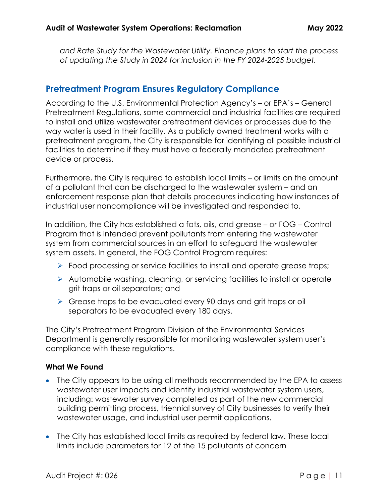*and Rate Study for the Wastewater Utility. Finance plans to start the process of updating the Study in 2024 for inclusion in the FY 2024-2025 budget.*

## <span id="page-10-0"></span>**Pretreatment Program Ensures Regulatory Compliance**

According to the U.S. Environmental Protection Agency's – or EPA's – General Pretreatment Regulations, some commercial and industrial facilities are required to install and utilize wastewater pretreatment devices or processes due to the way water is used in their facility. As a publicly owned treatment works with a pretreatment program, the City is responsible for identifying all possible industrial facilities to determine if they must have a federally mandated pretreatment device or process.

Furthermore, the City is required to establish local limits – or limits on the amount of a pollutant that can be discharged to the wastewater system – and an enforcement response plan that details procedures indicating how instances of industrial user noncompliance will be investigated and responded to.

In addition, the City has established a fats, oils, and grease – or FOG – Control Program that is intended prevent pollutants from entering the wastewater system from commercial sources in an effort to safeguard the wastewater system assets. In general, the FOG Control Program requires:

- ➢ Food processing or service facilities to install and operate grease traps;
- ➢ Automobile washing, cleaning, or servicing facilities to install or operate grit traps or oil separators; and
- ➢ Grease traps to be evacuated every 90 days and grit traps or oil separators to be evacuated every 180 days.

The City's Pretreatment Program Division of the Environmental Services Department is generally responsible for monitoring wastewater system user's compliance with these regulations.

## **What We Found**

- The City appears to be using all methods recommended by the EPA to assess wastewater user impacts and identify industrial wastewater system users, including: wastewater survey completed as part of the new commercial building permitting process, triennial survey of City businesses to verify their wastewater usage, and industrial user permit applications.
- The City has established local limits as required by federal law. These local limits include parameters for 12 of the 15 pollutants of concern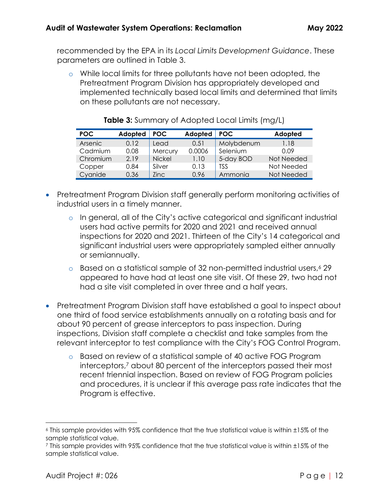recommended by the EPA in its *Local Limits Development Guidance*. These parameters are outlined in Table 3.

o While local limits for three pollutants have not been adopted, the Pretreatment Program Division has appropriately developed and implemented technically based local limits and determined that limits on these pollutants are not necessary.

| POC.     | Adopted | POC.          | Adopted | <b>POC</b> | Adopted    |
|----------|---------|---------------|---------|------------|------------|
| Arsenic  | 0.12    | Lead          | 0.51    | Molybdenum | 1.18       |
| Cadmium  | 0.08    | Mercury       | 0.0006  | Selenium   | 0.09       |
| Chromium | 2.19    | <b>Nickel</b> | 1.10    | 5-day BOD  | Not Needed |
| Copper   | 0.84    | Silver        | 0.13    | <b>TSS</b> | Not Needed |
| Cyanide  | 0.36    | <b>Zinc</b>   | 0.96    | Ammonia    | Not Needed |

## **Table 3:** Summary of Adopted Local Limits (mg/L)

- Pretreatment Program Division staff generally perform monitoring activities of industrial users in a timely manner.
	- o In general, all of the City's active categorical and significant industrial users had active permits for 2020 and 2021 and received annual inspections for 2020 and 2021. Thirteen of the City's 14 categorical and significant industrial users were appropriately sampled either annually or semiannually.
	- $\circ$  Based on a statistical sample of 32 non-permitted industrial users,  $\circ$  29 appeared to have had at least one site visit. Of these 29, two had not had a site visit completed in over three and a half years.
- Pretreatment Program Division staff have established a goal to inspect about one third of food service establishments annually on a rotating basis and for about 90 percent of grease interceptors to pass inspection. During inspections, Division staff complete a checklist and take samples from the relevant interceptor to test compliance with the City's FOG Control Program.
	- o Based on review of a statistical sample of 40 active FOG Program interceptors,<sup>7</sup> about 80 percent of the interceptors passed their most recent triennial inspection. Based on review of FOG Program policies and procedures, it is unclear if this average pass rate indicates that the Program is effective.

<sup>6</sup> This sample provides with 95% confidence that the true statistical value is within ±15% of the sample statistical value.

<sup>7</sup> This sample provides with 95% confidence that the true statistical value is within ±15% of the sample statistical value.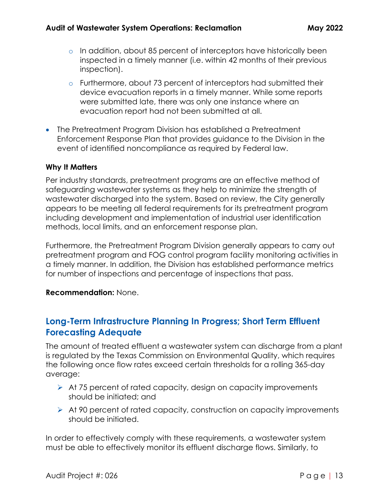- $\circ$  In addition, about 85 percent of interceptors have historically been inspected in a timely manner (i.e. within 42 months of their previous inspection).
- o Furthermore, about 73 percent of interceptors had submitted their device evacuation reports in a timely manner. While some reports were submitted late, there was only one instance where an evacuation report had not been submitted at all.
- The Pretreatment Program Division has established a Pretreatment Enforcement Response Plan that provides guidance to the Division in the event of identified noncompliance as required by Federal law.

#### **Why It Matters**

Per industry standards, pretreatment programs are an effective method of safeguarding wastewater systems as they help to minimize the strength of wastewater discharged into the system. Based on review, the City generally appears to be meeting all federal requirements for its pretreatment program including development and implementation of industrial user identification methods, local limits, and an enforcement response plan.

Furthermore, the Pretreatment Program Division generally appears to carry out pretreatment program and FOG control program facility monitoring activities in a timely manner. In addition, the Division has established performance metrics for number of inspections and percentage of inspections that pass.

#### **Recommendation:** None.

## <span id="page-12-0"></span>**Long-Term Infrastructure Planning In Progress; Short Term Effluent Forecasting Adequate**

The amount of treated effluent a wastewater system can discharge from a plant is regulated by the Texas Commission on Environmental Quality, which requires the following once flow rates exceed certain thresholds for a rolling 365-day average:

- ➢ At 75 percent of rated capacity, design on capacity improvements should be initiated; and
- ➢ At 90 percent of rated capacity, construction on capacity improvements should be initiated.

In order to effectively comply with these requirements, a wastewater system must be able to effectively monitor its effluent discharge flows. Similarly, to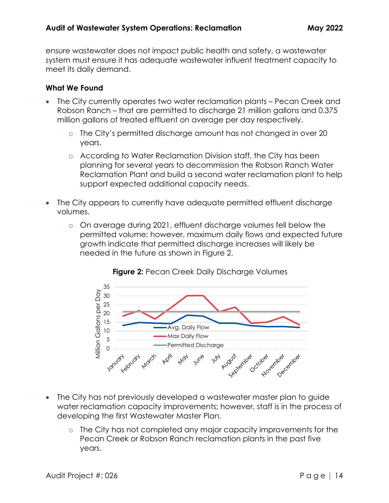ensure wastewater does not impact public health and safety, a wastewater system must ensure it has adequate wastewater influent treatment capacity to meet its daily demand.

## **What We Found**

- The City currently operates two water reclamation plants Pecan Creek and Robson Ranch – that are permitted to discharge 21 million gallons and 0.375 million gallons of treated effluent on average per day respectively.
	- o The City's permitted discharge amount has not changed in over 20 years.
	- o According to Water Reclamation Division staff, the City has been planning for several years to decommission the Robson Ranch Water Reclamation Plant and build a second water reclamation plant to help support expected additional capacity needs.
- The City appears to currently have adequate permitted effluent discharge volumes.
	- o On average during 2021, effluent discharge volumes fell below the permitted volume; however, maximum daily flows and expected future growth indicate that permitted discharge increases will likely be needed in the future as shown in Figure 2.



## **Figure 2: Pecan Creek Daily Discharge Volumes**

- The City has not previously developed a wastewater master plan to guide water reclamation capacity improvements; however, staff is in the process of developing the first Wastewater Master Plan.
	- o The City has not completed any major capacity improvements for the Pecan Creek or Robson Ranch reclamation plants in the past five years.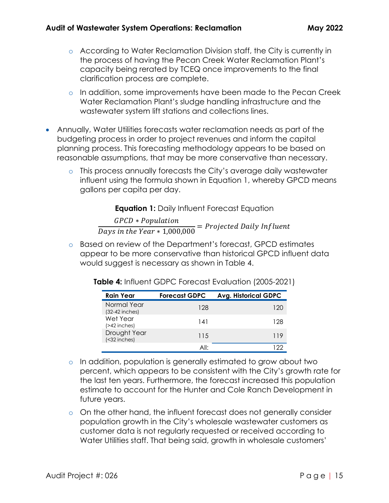- o According to Water Reclamation Division staff, the City is currently in the process of having the Pecan Creek Water Reclamation Plant's capacity being rerated by TCEQ once improvements to the final clarification process are complete.
- o In addition, some improvements have been made to the Pecan Creek Water Reclamation Plant's sludge handling infrastructure and the wastewater system lift stations and collections lines.
- Annually, Water Utilities forecasts water reclamation needs as part of the budgeting process in order to project revenues and inform the capital planning process. This forecasting methodology appears to be based on reasonable assumptions, that may be more conservative than necessary.
	- o This process annually forecasts the City's average daily wastewater influent using the formula shown in Equation 1, whereby GPCD means gallons per capita per day.

**Equation 1:** Daily Influent Forecast Equation

GPCD \* Population  $\frac{1}{\text{days}}$  in the Year  $*$  1,000,000 = Projected Daily Influent

o Based on review of the Department's forecast, GPCD estimates appear to be more conservative than historical GPCD influent data would suggest is necessary as shown in Table 4.

| <b>Rain Year</b>                | <b>Forecast GDPC</b> | <b>Avg. Historical GDPC</b> |
|---------------------------------|----------------------|-----------------------------|
| Normal Year<br>$(32-42$ inches) | 128                  | 120                         |
| Wet Year<br>$($ >42 inches $)$  | 141                  | 128                         |
| Drought Year<br>(<32 inches)    | 115                  | 119                         |
|                                 | All <sup>.</sup>     |                             |

**Table 4:** Influent GDPC Forecast Evaluation (2005-2021)

- o In addition, population is generally estimated to grow about two percent, which appears to be consistent with the City's growth rate for the last ten years. Furthermore, the forecast increased this population estimate to account for the Hunter and Cole Ranch Development in future years.
- o On the other hand, the influent forecast does not generally consider population growth in the City's wholesale wastewater customers as customer data is not regularly requested or received according to Water Utilities staff. That being said, growth in wholesale customers'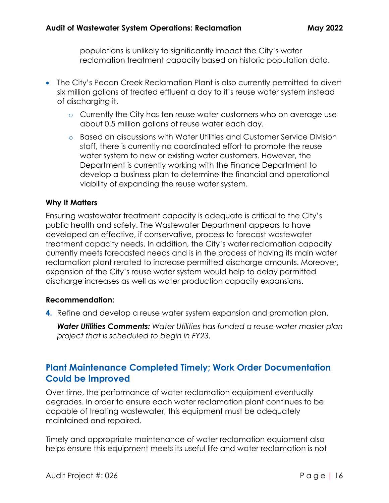populations is unlikely to significantly impact the City's water reclamation treatment capacity based on historic population data.

- The City's Pecan Creek Reclamation Plant is also currently permitted to divert six million gallons of treated effluent a day to it's reuse water system instead of discharging it.
	- o Currently the City has ten reuse water customers who on average use about 0.5 million gallons of reuse water each day.
	- o Based on discussions with Water Utilities and Customer Service Division staff, there is currently no coordinated effort to promote the reuse water system to new or existing water customers. However, the Department is currently working with the Finance Department to develop a business plan to determine the financial and operational viability of expanding the reuse water system.

#### **Why It Matters**

Ensuring wastewater treatment capacity is adequate is critical to the City's public health and safety. The Wastewater Department appears to have developed an effective, if conservative, process to forecast wastewater treatment capacity needs. In addition, the City's water reclamation capacity currently meets forecasted needs and is in the process of having its main water reclamation plant rerated to increase permitted discharge amounts. Moreover, expansion of the City's reuse water system would help to delay permitted discharge increases as well as water production capacity expansions.

#### **Recommendation:**

**4.** Refine and develop a reuse water system expansion and promotion plan.

*Water Utilities Comments: Water Utilities has funded a reuse water master plan project that is scheduled to begin in FY23.*

## <span id="page-15-0"></span>**Plant Maintenance Completed Timely; Work Order Documentation Could be Improved**

Over time, the performance of water reclamation equipment eventually degrades. In order to ensure each water reclamation plant continues to be capable of treating wastewater, this equipment must be adequately maintained and repaired.

Timely and appropriate maintenance of water reclamation equipment also helps ensure this equipment meets its useful life and water reclamation is not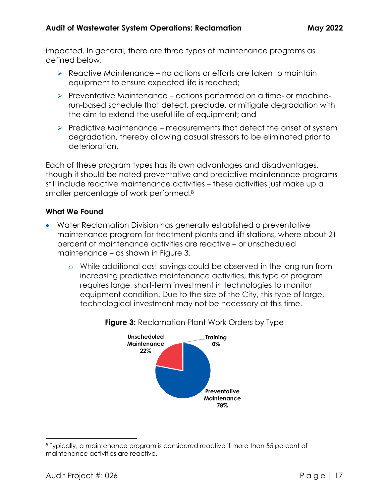impacted. In general, there are three types of maintenance programs as defined below:

- ➢ Reactive Maintenance no actions or efforts are taken to maintain equipment to ensure expected life is reached;
- ➢ Preventative Maintenance actions performed on a time- or machinerun-based schedule that detect, preclude, or mitigate degradation with the aim to extend the useful life of equipment; and
- $\triangleright$  Predictive Maintenance measurements that detect the onset of system degradation, thereby allowing casual stressors to be eliminated prior to deterioration.

Each of these program types has its own advantages and disadvantages, though it should be noted preventative and predictive maintenance programs still include reactive maintenance activities – these activities just make up a smaller percentage of work performed.<sup>8</sup>

## **What We Found**

- Water Reclamation Division has generally established a preventative maintenance program for treatment plants and lift stations, where about 21 percent of maintenance activities are reactive – or unscheduled maintenance – as shown in Figure 3.
	- o While additional cost savings could be observed in the long run from increasing predictive maintenance activities, this type of program requires large, short-term investment in technologies to monitor equipment condition. Due to the size of the City, this type of large, technological investment may not be necessary at this time.



**Figure 3:** Reclamation Plant Work Orders by Type

<sup>8</sup> Typically, a maintenance program is considered reactive if more than 55 percent of maintenance activities are reactive.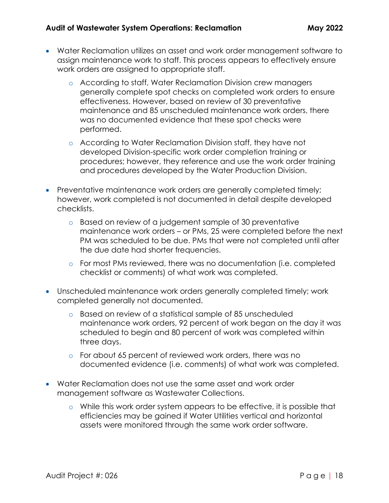- Water Reclamation utilizes an asset and work order management software to assign maintenance work to staff. This process appears to effectively ensure work orders are assigned to appropriate staff.
	- o According to staff, Water Reclamation Division crew managers generally complete spot checks on completed work orders to ensure effectiveness. However, based on review of 30 preventative maintenance and 85 unscheduled maintenance work orders, there was no documented evidence that these spot checks were performed.
	- o According to Water Reclamation Division staff, they have not developed Division-specific work order completion training or procedures; however, they reference and use the work order training and procedures developed by the Water Production Division.
- Preventative maintenance work orders are generally completed timely; however, work completed is not documented in detail despite developed checklists.
	- o Based on review of a judgement sample of 30 preventative maintenance work orders – or PMs, 25 were completed before the next PM was scheduled to be due. PMs that were not completed until after the due date had shorter frequencies.
	- o For most PMs reviewed, there was no documentation (i.e. completed checklist or comments) of what work was completed.
- Unscheduled maintenance work orders generally completed timely; work completed generally not documented.
	- o Based on review of a statistical sample of 85 unscheduled maintenance work orders, 92 percent of work began on the day it was scheduled to begin and 80 percent of work was completed within three days.
	- o For about 65 percent of reviewed work orders, there was no documented evidence (i.e. comments) of what work was completed.
- Water Reclamation does not use the same asset and work order management software as Wastewater Collections.
	- o While this work order system appears to be effective, it is possible that efficiencies may be gained if Water Utilities vertical and horizontal assets were monitored through the same work order software.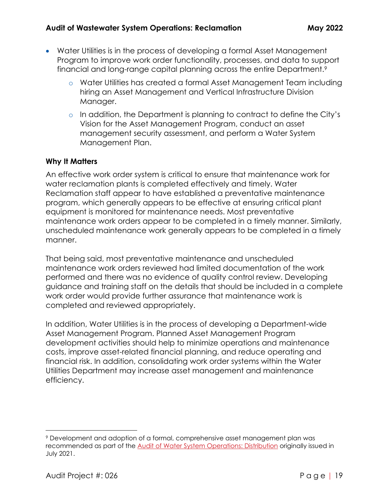- Water Utilities is in the process of developing a formal Asset Management Program to improve work order functionality, processes, and data to support financial and long-range capital planning across the entire Department.<sup>9</sup>
	- o Water Utilities has created a formal Asset Management Team including hiring an Asset Management and Vertical Infrastructure Division Manager.
	- o In addition, the Department is planning to contract to define the City's Vision for the Asset Management Program, conduct an asset management security assessment, and perform a Water System Management Plan.

## **Why It Matters**

An effective work order system is critical to ensure that maintenance work for water reclamation plants is completed effectively and timely. Water Reclamation staff appear to have established a preventative maintenance program, which generally appears to be effective at ensuring critical plant equipment is monitored for maintenance needs. Most preventative maintenance work orders appear to be completed in a timely manner. Similarly, unscheduled maintenance work generally appears to be completed in a timely manner.

That being said, most preventative maintenance and unscheduled maintenance work orders reviewed had limited documentation of the work performed and there was no evidence of quality control review. Developing guidance and training staff on the details that should be included in a complete work order would provide further assurance that maintenance work is completed and reviewed appropriately.

In addition, Water Utilities is in the process of developing a Department-wide Asset Management Program. Planned Asset Management Program development activities should help to minimize operations and maintenance costs, improve asset-related financial planning, and reduce operating and financial risk. In addition, consolidating work order systems within the Water Utilities Department may increase asset management and maintenance efficiency.

<sup>9</sup> Development and adoption of a formal, comprehensive asset management plan was recommended as part of the [Audit of Water System Operations: Distribution](https://www.cityofdenton.com/DocumentCenter/View/2656/Audit-of-Water-System-Operations-Distribution-PDF) originally issued in July 2021.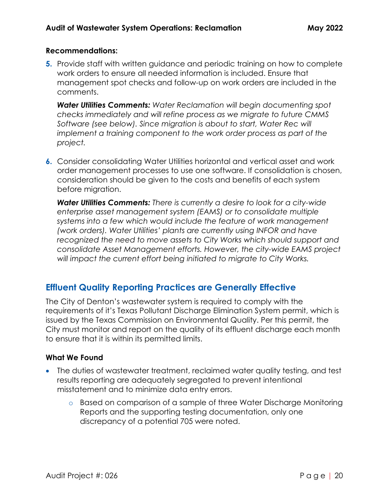#### **Recommendations:**

**5.** Provide staff with written guidance and periodic training on how to complete work orders to ensure all needed information is included. Ensure that management spot checks and follow-up on work orders are included in the comments.

*Water Utilities Comments: Water Reclamation will begin documenting spot checks immediately and will refine process as we migrate to future CMMS Software (see below). Since migration is about to start, Water Rec will implement a training component to the work order process as part of the project.*

**6.** Consider consolidating Water Utilities horizontal and vertical asset and work order management processes to use one software. If consolidation is chosen, consideration should be given to the costs and benefits of each system before migration.

*Water Utilities Comments: There is currently a desire to look for a city-wide enterprise asset management system (EAMS) or to consolidate multiple systems into a few which would include the feature of work management (work orders). Water Utilities' plants are currently using INFOR and have*  recognized the need to move assets to City Works which should support and *consolidate Asset Management efforts. However, the city-wide EAMS project will impact the current effort being initiated to migrate to City Works.*

## <span id="page-19-0"></span>**Effluent Quality Reporting Practices are Generally Effective**

The City of Denton's wastewater system is required to comply with the requirements of it's Texas Pollutant Discharge Elimination System permit, which is issued by the Texas Commission on Environmental Quality. Per this permit, the City must monitor and report on the quality of its effluent discharge each month to ensure that it is within its permitted limits.

## **What We Found**

- The duties of wastewater treatment, reclaimed water quality testing, and test results reporting are adequately segregated to prevent intentional misstatement and to minimize data entry errors.
	- o Based on comparison of a sample of three Water Discharge Monitoring Reports and the supporting testing documentation, only one discrepancy of a potential 705 were noted.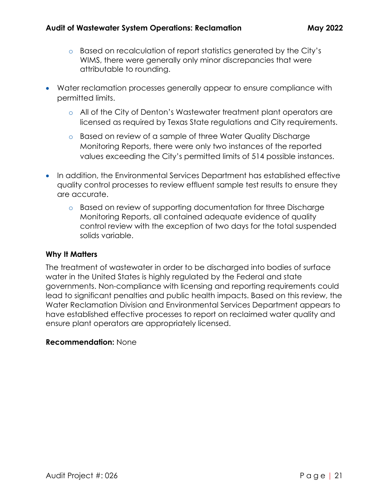- o Based on recalculation of report statistics generated by the City's WIMS, there were generally only minor discrepancies that were attributable to rounding.
- Water reclamation processes generally appear to ensure compliance with permitted limits.
	- o All of the City of Denton's Wastewater treatment plant operators are licensed as required by Texas State regulations and City requirements.
	- o Based on review of a sample of three Water Quality Discharge Monitoring Reports, there were only two instances of the reported values exceeding the City's permitted limits of 514 possible instances.
- In addition, the Environmental Services Department has established effective quality control processes to review effluent sample test results to ensure they are accurate.
	- o Based on review of supporting documentation for three Discharge Monitoring Reports, all contained adequate evidence of quality control review with the exception of two days for the total suspended solids variable.

## **Why It Matters**

The treatment of wastewater in order to be discharged into bodies of surface water in the United States is highly regulated by the Federal and state governments. Non-compliance with licensing and reporting requirements could lead to significant penalties and public health impacts. Based on this review, the Water Reclamation Division and Environmental Services Department appears to have established effective processes to report on reclaimed water quality and ensure plant operators are appropriately licensed.

## **Recommendation:** None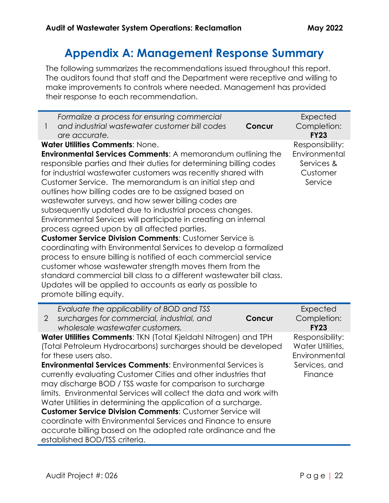# **Appendix A: Management Response Summary**

<span id="page-21-0"></span>The following summarizes the recommendations issued throughout this report. The auditors found that staff and the Department were receptive and willing to make improvements to controls where needed. Management has provided their response to each recommendation.

| Formalize a process for ensuring commercial                                                                                          |                                                                                    | Expected                   |  |  |  |  |  |
|--------------------------------------------------------------------------------------------------------------------------------------|------------------------------------------------------------------------------------|----------------------------|--|--|--|--|--|
| and industrial wastewater customer bill codes<br>1                                                                                   | Concur                                                                             | Completion:<br><b>FY23</b> |  |  |  |  |  |
| are accurate.<br><b>Water Utilities Comments: None.</b>                                                                              |                                                                                    | Responsibility:            |  |  |  |  |  |
| Environmental Services Comments: A memorandum outlining the                                                                          |                                                                                    | Environmental              |  |  |  |  |  |
| responsible parties and their duties for determining billing codes                                                                   |                                                                                    | Services &                 |  |  |  |  |  |
| for industrial wastewater customers was recently shared with                                                                         |                                                                                    | Customer                   |  |  |  |  |  |
| Customer Service. The memorandum is an initial step and                                                                              |                                                                                    | Service                    |  |  |  |  |  |
| outlines how billing codes are to be assigned based on                                                                               |                                                                                    |                            |  |  |  |  |  |
| wastewater surveys, and how sewer billing codes are                                                                                  |                                                                                    |                            |  |  |  |  |  |
| subsequently updated due to industrial process changes.                                                                              |                                                                                    |                            |  |  |  |  |  |
| Environmental Services will participate in creating an internal                                                                      |                                                                                    |                            |  |  |  |  |  |
| process agreed upon by all affected parties.<br><b>Customer Service Division Comments: Customer Service is</b>                       |                                                                                    |                            |  |  |  |  |  |
| coordinating with Environmental Services to develop a formalized                                                                     |                                                                                    |                            |  |  |  |  |  |
| process to ensure billing is notified of each commercial service                                                                     |                                                                                    |                            |  |  |  |  |  |
| customer whose wastewater strength moves them from the                                                                               |                                                                                    |                            |  |  |  |  |  |
| standard commercial bill class to a different wastewater bill class.                                                                 |                                                                                    |                            |  |  |  |  |  |
| Updates will be applied to accounts as early as possible to                                                                          |                                                                                    |                            |  |  |  |  |  |
| promote billing equity.                                                                                                              |                                                                                    |                            |  |  |  |  |  |
| Evaluate the applicability of BOD and TSS                                                                                            |                                                                                    | Expected                   |  |  |  |  |  |
| surcharges for commercial, industrial, and<br>$\overline{2}$                                                                         | <b>Concur</b>                                                                      | Completion:                |  |  |  |  |  |
| wholesale wastewater customers.                                                                                                      |                                                                                    | <b>FY23</b>                |  |  |  |  |  |
| Water Utilities Comments: TKN (Total Kjeldahl Nitrogen) and TPH                                                                      |                                                                                    | Responsibility:            |  |  |  |  |  |
| (Total Petroleum Hydrocarbons) surcharges should be developed                                                                        |                                                                                    | Water Utilities,           |  |  |  |  |  |
| for these users also.                                                                                                                |                                                                                    | Environmental              |  |  |  |  |  |
|                                                                                                                                      | <b>Environmental Services Comments: Environmental Services is</b><br>Services, and |                            |  |  |  |  |  |
| currently evaluating Customer Cities and other industries that                                                                       |                                                                                    |                            |  |  |  |  |  |
|                                                                                                                                      |                                                                                    | Finance                    |  |  |  |  |  |
| may discharge BOD / TSS waste for comparison to surcharge                                                                            |                                                                                    |                            |  |  |  |  |  |
| limits. Environmental Services will collect the data and work with<br>Water Utilities in determining the application of a surcharge. |                                                                                    |                            |  |  |  |  |  |
| <b>Customer Service Division Comments: Customer Service will</b>                                                                     |                                                                                    |                            |  |  |  |  |  |
| coordinate with Environmental Services and Finance to ensure                                                                         |                                                                                    |                            |  |  |  |  |  |
| accurate billing based on the adopted rate ordinance and the<br>established BOD/TSS criteria.                                        |                                                                                    |                            |  |  |  |  |  |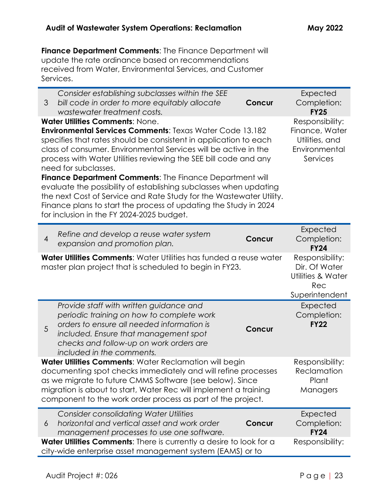**Finance Department Comments**: The Finance Department will update the rate ordinance based on recommendations received from Water, Environmental Services, and Customer Services.

| Consider establishing subclasses within the SEE<br>bill code in order to more equitably allocate<br>3<br>Concur<br>wastewater treatment costs.                                                                                                                                                                                                                                                                                                                                                                                                                                                                                                                               | Expected<br>Completion:<br><b>FY25</b>                                           |
|------------------------------------------------------------------------------------------------------------------------------------------------------------------------------------------------------------------------------------------------------------------------------------------------------------------------------------------------------------------------------------------------------------------------------------------------------------------------------------------------------------------------------------------------------------------------------------------------------------------------------------------------------------------------------|----------------------------------------------------------------------------------|
| <b>Water Utilities Comments: None.</b><br><b>Environmental Services Comments: Texas Water Code 13.182</b><br>specifies that rates should be consistent in application to each<br>class of consumer. Environmental Services will be active in the<br>process with Water Utilities reviewing the SEE bill code and any<br>need for subclasses.<br><b>Finance Department Comments: The Finance Department will</b><br>evaluate the possibility of establishing subclasses when updating<br>the next Cost of Service and Rate Study for the Wastewater Utility.<br>Finance plans to start the process of updating the Study in 2024<br>for inclusion in the FY 2024-2025 budget. | Responsibility:<br>Finance, Water<br>Utilities, and<br>Environmental<br>Services |
| Refine and develop a reuse water system<br>$\overline{4}$<br>Concur<br>expansion and promotion plan.                                                                                                                                                                                                                                                                                                                                                                                                                                                                                                                                                                         | Expected<br>Completion:<br><b>FY24</b>                                           |
| Water Utilities Comments: Water Utilities has funded a reuse water<br>master plan project that is scheduled to begin in FY23.                                                                                                                                                                                                                                                                                                                                                                                                                                                                                                                                                | Responsibility:<br>Dir. Of Water<br>Utilities & Water<br>Rec<br>Superintendent   |
| Provide staff with written guidance and<br>periodic training on how to complete work<br>orders to ensure all needed information is<br>5<br><b>Concur</b><br>included. Ensure that management spot<br>checks and follow-up on work orders are<br>included in the comments.                                                                                                                                                                                                                                                                                                                                                                                                    | Expected<br>Completion:<br><b>FY22</b>                                           |
| Water Utilities Comments: Water Reclamation will begin<br>documenting spot checks immediately and will refine processes<br>as we migrate to future CMMS Software (see below). Since<br>migration is about to start, Water Rec will implement a training<br>component to the work order process as part of the project.                                                                                                                                                                                                                                                                                                                                                       | Responsibility:<br>Reclamation<br>Plant<br>Managers                              |
| <b>Consider consolidating Water Utilities</b><br>horizontal and vertical asset and work order<br>Concur<br>6<br>management processes to use one software.                                                                                                                                                                                                                                                                                                                                                                                                                                                                                                                    | Expected<br>Completion:<br><b>FY24</b>                                           |
| Water Utilities Comments: There is currently a desire to look for a<br>city-wide enterprise asset management system (EAMS) or to                                                                                                                                                                                                                                                                                                                                                                                                                                                                                                                                             | Responsibility:                                                                  |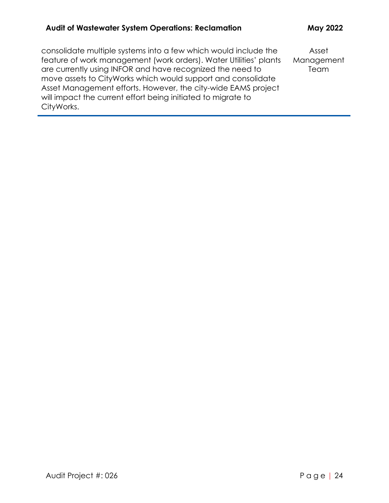# **Audit of Wastewater System Operations: Reclamation May 2022**

| consolidate multiple systems into a few which would include the   | Asset      |
|-------------------------------------------------------------------|------------|
| feature of work management (work orders). Water Utilities' plants | Management |
| are currently using INFOR and have recognized the need to         | Team       |
| move assets to CityWorks which would support and consolidate      |            |
| Asset Management efforts. However, the city-wide EAMS project     |            |
| will impact the current effort being initiated to migrate to      |            |
| CityWorks.                                                        |            |